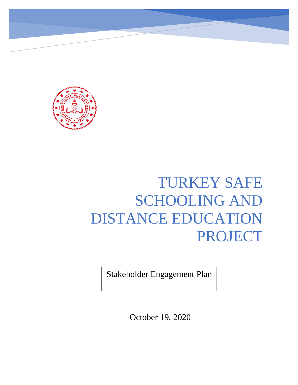

# TURKEY SAFE SCHOOLING AND DISTANCE EDUCATION PROJECT

Stakeholder Engagement Plan

October 19, 2020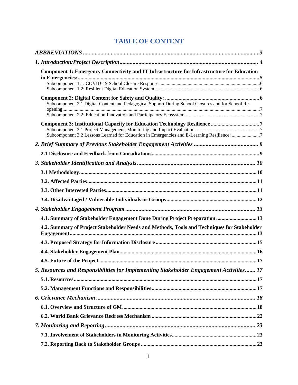# **TABLE OF CONTENT**

| Component 1: Emergency Connectivity and IT Infrastructure for Infrastructure for Education         |  |
|----------------------------------------------------------------------------------------------------|--|
|                                                                                                    |  |
|                                                                                                    |  |
|                                                                                                    |  |
| Subcomponent 2.1 Digital Content and Pedagogical Support During School Closures and for School Re- |  |
|                                                                                                    |  |
|                                                                                                    |  |
|                                                                                                    |  |
| Subcomponent 3.2 Lessons Learned for Education in Emergencies and E-Learning Resilience: 7         |  |
|                                                                                                    |  |
|                                                                                                    |  |
|                                                                                                    |  |
|                                                                                                    |  |
|                                                                                                    |  |
|                                                                                                    |  |
|                                                                                                    |  |
|                                                                                                    |  |
| 4.1. Summary of Stakeholder Engagement Done During Project Preparation  13                         |  |
| 4.2. Summary of Project Stakeholder Needs and Methods, Tools and Techniques for Stakeholder        |  |
|                                                                                                    |  |
|                                                                                                    |  |
|                                                                                                    |  |
| 5. Resources and Responsibilities for Implementing Stakeholder Engagement Activities 17            |  |
|                                                                                                    |  |
|                                                                                                    |  |
|                                                                                                    |  |
|                                                                                                    |  |
|                                                                                                    |  |
|                                                                                                    |  |
|                                                                                                    |  |
|                                                                                                    |  |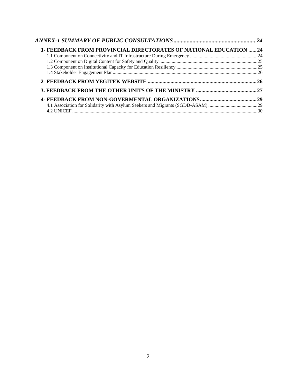| <b>1- FEEDBACK FROM PROVINCIAL DIRECTORATES OF NATIONAL EDUCATION 24</b> |  |
|--------------------------------------------------------------------------|--|
|                                                                          |  |
|                                                                          |  |
|                                                                          |  |
|                                                                          |  |
|                                                                          |  |
|                                                                          |  |
|                                                                          |  |
|                                                                          |  |
|                                                                          |  |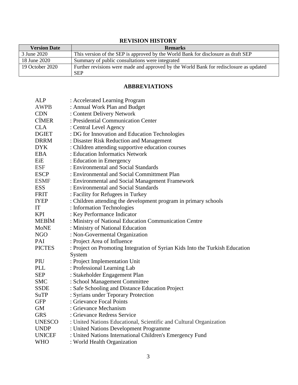# **REVISION HISTORY**

| <b>Version Date</b> | <b>Remarks</b>                                                                         |  |  |
|---------------------|----------------------------------------------------------------------------------------|--|--|
| 3 June 2020         | This version of the SEP is approved by the World Bank for disclosure as draft SEP      |  |  |
| 18 June 2020        | Summary of public consultations were integrated                                        |  |  |
| 19 October 2020     | Further revisions were made and approved by the World Bank for redisclosure as updated |  |  |
|                     | <b>SEP</b>                                                                             |  |  |

# **ABBREVIATIONS**

<span id="page-3-0"></span>

| : Accelerated Learning Program                                               |
|------------------------------------------------------------------------------|
| : Annual Work Plan and Budget                                                |
| : Content Delivery Network                                                   |
| : Presidential Communication Center                                          |
| : Central Level Agency                                                       |
| : DG for Innovation and Education Technologies                               |
| : Disaster Risk Reduction and Management                                     |
| : Children attending supportive education courses                            |
| : Education Informatics Network                                              |
| : Education in Emergency                                                     |
| : Environmental and Social Standards                                         |
| : Environmental and Social Committment Plan                                  |
| : Environmental and Social Management Framework                              |
| : Environmental and Social Standards                                         |
| : Facility for Refugees in Turkey                                            |
| : Children attending the development program in primary schools              |
| : Information Technologies                                                   |
| : Key Performance Indicator                                                  |
| : Ministry of National Education Communication Centre                        |
| : Ministry of National Education                                             |
| : Non-Govermental Organization                                               |
| : Project Area of Influence                                                  |
| : Project on Promoting Integration of Syrian Kids Into the Turkish Education |
| System                                                                       |
| : Project Implementation Unit                                                |
| : Professional Learning Lab                                                  |
| : Stakeholder Engagement Plan                                                |
| : School Management Committee                                                |
| : Safe Schooling and Distance Education Project                              |
| : Syrians under Teporary Protection                                          |
| : Grievance Focal Points                                                     |
| : Grievance Mechanism                                                        |
| : Grievance Redress Service                                                  |
| : United Nations Educational, Scientific and Cultural Organization           |
| : United Nations Development Programme                                       |
| : United Nations International Children's Emergency Fund                     |
| : World Health Organization                                                  |
|                                                                              |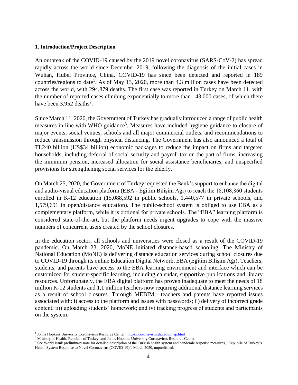#### <span id="page-4-0"></span>**1. Introduction/Project Description**

An outbreak of the COVID-19 caused by the 2019 novel coronavirus (SARS-CoV-2) has spread rapidly across the world since December 2019, following the diagnosis of the initial cases in Wuhan, Hubei Province, China. COVID-19 has since been detected and reported in 189 countries/regions to date<sup>1</sup>. As of May 13, 2020, more than 4.3 million cases have been detected across the world, with 294,879 deaths. The first case was reported in Turkey on March 11, with the number of reported cases climbing exponentially to more than 143,000 cases, of which there have been  $3,952$  deaths<sup>2</sup>.

Since March 11, 2020, the Government of Turkey has gradually introduced a range of public health measures in line with WHO guidance<sup>3</sup>. Measures have included hygiene guidance to closure of major events, social venues, schools and all major commercial outlets, and recommendations to reduce transmission through physical distancing. The Government has also announced a total of TL240 billion (US\$34 billion) economic packages to reduce the impact on firms and targeted households, including deferral of social security and payroll tax on the part of firms, increasing the minimum pension, increased allocation for social assistance beneficiaries, and unspecified provisions for strengthening social services for the elderly.

On March 25, 2020, the Government of Turkey requested the Bank's support to enhance the digital and audio-visual education platform (EBA - Eğitim Bilişim Ağı) to reach the 18,108,860 students enrolled in K-12 education (15,088,592 in public schools, 1,440,577 in private schools, and 1,579,691 in open/distance education). The public-school system is obliged to use EBA as a complementary platform, while it is optional for private schools. The "EBA" learning platform is considered state-of-the-art, but the platform needs urgent upgrades to cope with the massive numbers of concurrent users created by the school closures.

In the education sector, all schools and universities were closed as a result of the COVID-19 pandemic. On March 23, 2020, MoNE initiated distance-based schooling. The Ministry of National Education (MoNE) is delivering distance education services during school closures due to COVID-19 through its online Education Digital Network, EBA (Eğitim Bilişim Ağı)**.** Teachers, students, and parents have access to the EBA learning environment and interface which can be customized for student-specific learning, including calendar, supportive publications and library resources. Unfortunately, the EBA digital platform has proven inadequate to meet the needs of 18 million K-12 students and 1,1 million teachers now requiring additional distance learning services as a result of school closures. Through MEBIM, teachers and parents have reported issues associated with: i) access to the platform and issues with passwords; ii) delivery of incorrect grade content; iii) uploading students' homework; and iv) tracking progress of students and participants on the system.

 $\overline{a}$ 

<sup>&</sup>lt;sup>1</sup> Johns Hopkins University Coronavirus Resource Center.<https://coronavirus.jhu.edu/map.html>

<sup>&</sup>lt;sup>2</sup> Ministry of Health, Republic of Turkey, and Johns Hopkins University Coronavirus Resource Center.

<sup>&</sup>lt;sup>3</sup> See World Bank preliminary note for detailed description of the Turkish health system and pandemic response measures, "Republic of Turkey's Health System Response to Novel Coronavirus (COVID-19)", March 2020, unpublished.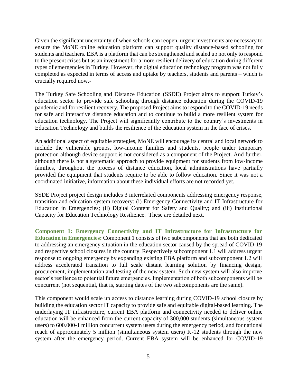Given the significant uncertainty of when schools can reopen, urgent investments are necessary to ensure the MoNE online education platform can support quality distance-based schooling for students and teachers. EBA is a platform that can be strengthened and scaled up not only to respond to the present crises but as an investment for a more resilient delivery of education during different types of emergencies in Turkey. However, the digital education technology program was not fully completed as expected in terms of access and uptake by teachers, students and parents – which is crucially required now.-

The Turkey Safe Schooling and Distance Education (SSDE) Project aims to support Turkey's education sector to provide safe schooling through distance education during the COVID-19 pandemic and for resilient recovery. The proposed Project aims to respond to the COVID-19 needs for safe and interactive distance education and to continue to build a more resilient system for education technology. The Project will significantly contribute to the country's investments in Education Technology and builds the resilience of the education system in the face of crises.

An additional aspect of equitable strategies, MoNE will encourage its central and local network to include the vulnerable groups, low-income families and students, people under temporary protection although device support is not considered as a component of the Project. And further, although there is not a systematic approach to provide equipment for students from low-income families, throughout the process of distance education, local administrations have partially provided the equipment that students require to be able to follow education. Since it was not a coordinated initiative, information about these individual efforts are not recorded yet.

SSDE Project project design includes 3 interrelated components addressing emergency response, transition and education system recovery: (i) Emergency Connectivity and IT Infrastructure for Education in Emergencies; (ii) Digital Content for Safety and Quality; and (iii) Institutional Capacity for Education Technology Resilience. These are detailed next.

<span id="page-5-0"></span>**Component 1: Emergency Connectivity and IT Infrastructure for Infrastructure for Education in Emergencies:** Component 1 consists of two subcomponents that are both dedicated to addressing an emergency situation in the education sector caused by the spread of COVID-19 and respective school closures in the country. Respectively subcomponent 1.1 will address urgent response to ongoing emergency by expanding existing EBA platform and subcomponent 1.2 will address accelerated transition to full scale distant learning solution by financing design, procurement, implementation and testing of the new system. Such new system will also improve sector's resilience to potential future emergencies. Implementation of both subcomponents will be concurrent (not sequential, that is, starting dates of the two subcomponents are the same).

This component would scale up access to distance learning during COVID-19 school closure by building the education sector IT capacity to provide safe and equitable digital-based learning. The underlaying IT infrastructure, current EBA platform and connectivity needed to deliver online education will be enhanced from the current capacity of 300,000 students (simultaneous system users) to 600.000-1 million concurrent system users during the emergency period, and for national reach of approximately 5 million (simultaneous system users) K-12 students through the new system after the emergency period. Current EBA system will be enhanced for COVID-19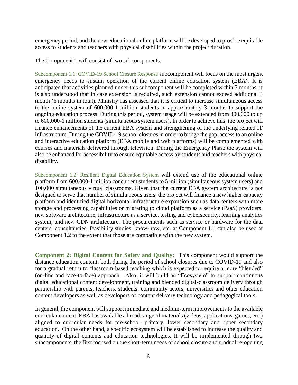emergency period, and the new educational online platform will be developed to provide equitable access to students and teachers with physical disabilities within the project duration.

The Component 1 will consist of two subcomponents:

<span id="page-6-0"></span>Subcomponent 1.1: COVID-19 School Closure Response subcomponent will focus on the most urgent emergency needs to sustain operation of the current online education system (EBA). It is anticipated that activities planned under this subcomponent will be completed within 3 months; it is also understood that in case extension is required, such extension cannot exceed additional 3 month (6 months in total). Ministry has assessed that it is critical to increase simultaneous access to the online system of 600,000-1 million students in approximately 3 months to support the ongoing education process. During this period, system usage will be extended from 300,000 to up to 600,000-1 million students (simultaneous system users). In order to achieve this, the project will finance enhancements of the current EBA system and strengthening of the underlying related IT infrastructure. During the COVID-19 school closures in order to bridge the gap, access to an online and interactive education platform (EBA mobile and web platforms) will be complemented with courses and materials delivered through television. During the Emergency Phase the system will also be enhanced for accessibility to ensure equitable access by students and teachers with physical disability.

<span id="page-6-1"></span>Subcomponent 1.2: Resilient Digital Education System will extend use of the educational online platform from 600,000-1 million concurrent students to 5 million (simultaneous system users) and 100,000 simultaneous virtual classrooms. Given that the current EBA system architecture is not designed to serve that number of simultaneous users, the project will finance a new higher capacity platform and identified digital horizontal infrastructure expansion such as data centers with more storage and processing capabilities or migrating to cloud platform as a service (PaaS) providers, new software architecture, infrastructure as a service, testing and cybersecurity, learning analytics system, and new CDN architecture. The procurements such as service or hardware for the data centers, consultancies, feasibility studies, know-how, etc. at Component 1.1 can also be used at Component 1.2 to the extent that those are compatible with the new system.

<span id="page-6-2"></span>**Component 2: Digital Content for Safety and Quality:** This component would support the distance education content, both during the period of school closures due to COVID-19 and also for a gradual return to classroom-based teaching which is expected to require a more "blended" (on-line and face-to-face) approach. Also, it will build an "Ecosystem" to support continuous digital educational content development, training and blended digital-classroom delivery through partnership with parents, teachers, students, community actors, universities and other education content developers as well as developers of content delivery technology and pedagogical tools.

In general, the component will support immediate and medium-term improvements to the available curricular content. EBA has available a broad range of materials (videos, applications, games, etc.) aligned to curricular needs for pre-school, primary, lower secondary and upper secondary education. On the other hand, a specific ecosystem will be established to increase the quality and quantity of digital contents and education technologies. It will be implemented through two subcomponents, the first focused on the short-term needs of school closure and gradual re-opening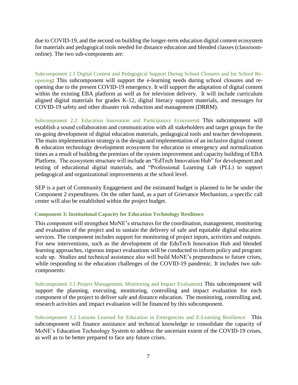due to COVID-19, and the second on building the longer-term education digital content ecosystem for materials and pedagogical tools needed for distance education and blended classes (classroomonline). The two sub-components are:

<span id="page-7-0"></span>Subcomponent 2.1 Digital Content and Pedagogical Support During School Closures and for School Reopening**:** This subcomponent will support the e-learning needs during school closures and reopening due to the present COVID-19 emergency. It will support the adaptation of digital content within the existing EBA platform as well as for television delivery. It will include curriculum aligned digital materials for grades K-12, digital literacy support materials, and messages for COVID-19 safety and other disaster risk reduction and management (DRRM).

<span id="page-7-1"></span>Subcomponent 2.2: Education Innovation and Participatory Ecosystem**:** This subcomponent will establish a sound collaboration and communication with all stakeholders and target groups for the on-going development of digital education materials, pedagogical tools and teacher development. The main implementation strategy is the design and implementation of an inclusive digital content & education technology development ecosystem for education in emergency and normalization times as a result of building the premises of the system improvement and capacity building of EBA Platform. The ecosystem structure will include an "EdTech Innovation Hub" for development and testing of educational digital materials, and "Professional Learning Lab (PLL) to support pedagogical and organizational improvements at the school level.

SEP is a part of Community Engagement and the estimated budget is planned to be be under the Component 2 expenditures. On the other hand, as a part of Grievance Mechanism, a specific call center will also be established within the project budget.

#### <span id="page-7-2"></span>**Component 3: Institutional Capacity for Education Technology Resilience**

This component will strengthen MoNE's structures for the coordination, management, monitoring and evaluation of the project and to sustain the delivery of safe and equitable digital education services. The component includes support for monitoring of project inputs, activities and outputs. For new interventions, such as the development of the EduTech Innovation Hub and blended learning approaches, rigorous impact evaluations will be conducted to inform policy and program scale up. Studies and technical assistance also will build MoNE's preparedness to future crises, while responding to the education challenges of the COVID-19 pandemic. It includes two subcomponents:

<span id="page-7-3"></span>Subcomponent 3.1 Project Management, Monitoring and Impact Evaluation**:** This subcomponent will support the planning, executing, monitoring, controlling and impact evaluation for each component of the project to deliver safe and distance education. The monitoring, controlling and, research activities and impact evaluation will be financed by this subcomponent.

<span id="page-7-4"></span>Subcomponent 3.2 Lessons Learned for Education in Emergencies and E-Learning Resilience: This subcomponent will finance assistance and technical knowledge to consolidate the capacity of MoNE's Education Technology System to address the uncertain extent of the COVID-19 crises, as well as to be better prepared to face any future crises.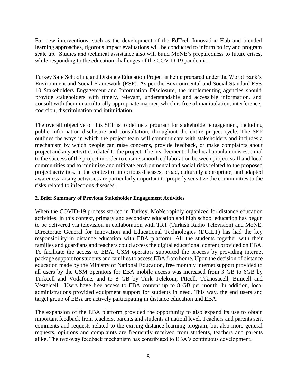For new interventions, such as the development of the EdTech Innovation Hub and blended learning approaches, rigorous impact evaluations will be conducted to inform policy and program scale up. Studies and technical assistance also will build MoNE's preparedness to future crises, while responding to the education challenges of the COVID-19 pandemic.

Turkey Safe Schooling and Distance Education Project is being prepared under the World Bank's Environment and Social Framework (ESF). As per the Environmental and Social Standard ESS 10 Stakeholders Engagement and Information Disclosure, the implementing agencies should provide stakeholders with timely, relevant, understandable and accessible information, and consult with them in a culturally appropriate manner, which is free of manipulation, interference, coercion, discrimination and intimidation.

The overall objective of this SEP is to define a program for stakeholder engagement, including public information disclosure and consultation, throughout the entire project cycle. The SEP outlines the ways in which the project team will communicate with stakeholders and includes a mechanism by which people can raise concerns, provide feedback, or make complaints about project and any activities related to the project. The involvement of the local population is essential to the success of the project in order to ensure smooth collaboration between project staff and local communities and to minimize and mitigate environmental and social risks related to the proposed project activities. In the context of infectious diseases, broad, culturally appropriate, and adapted awareness raising activities are particularly important to properly sensitize the communities to the risks related to infectious diseases.

#### <span id="page-8-0"></span>**2. Brief Summary of Previous Stakeholder Engagement Activities**

When the COVID-19 process started in Turkey, MoNe rapidly organized for distance education activities. In this context, primary and secondary education and high school education has begun to be delivered via television in collaboration with TRT (Turkish Radio Television) and MoNE. Directorate General for Innovation and Educational Technologies (DGIET) has had the key responsibility in distance education with EBA platform. All the students together with their families and guardians and teachers could access the digital educational content provided on EBA. To facilitate the access to EBA, GSM operators supported the process by providing internet package support for students and families to access EBA from home. Upon the decision of distance education made by the Ministry of National Education, free monthly internet support provided to all users by the GSM operators for EBA mobile access was increased from 3 GB to 6GB by Turkcell and Vodafone, and to 8 GB by Turk Telekom, Pttcell, Teknosacell, Bimcell and Vestelcell. Users have free access to EBA content up to 8 GB per month. In addition, local administrations provided equipment support for students in need. This way, the end users and target group of EBA are actively participating in distance education and EBA.

The expansion of the EBA platform provided the opportunity to also expand its use to obtain important feedback from teachers, parents and students at nationl level. Teachers and parents sent comments and requests related to the exising distance learning program, but also more general requests, opinions and complaints are frequently received from students, teachers and parents alike. The two-way feedback mechanism has contributed to EBA's continuous development.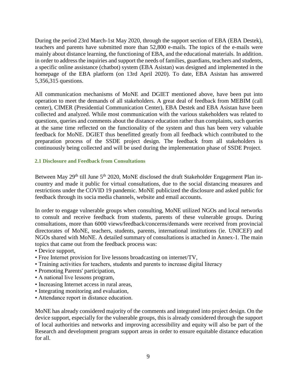During the period 23rd March-1st May 2020, through the support section of EBA (EBA Destek), teachers and parents have submitted more than 52,800 e-mails. The topics of the e-mails were mainly about distance learning, the functioning of EBA, and the educational materials. In addition. in order to address the inquiries and support the needs of families, guardians, teachers and students, a specific online assistance (chatbot) system (EBA Asistan) was designed and implemented in the homepage of the EBA platform (on 13rd April 2020). To date, EBA Asistan has answered 5,356,315 questions.

All communication mechanisms of MoNE and DGIET mentioned above, have been put into operation to meet the demands of all stakeholders. A great deal of feedback from MEBIM (call center), CIMER (Presidential Communication Center), EBA Destek and EBA Asistan have been collected and analyzed. While most communication with the various stakeholders was related to questions, queries and comments about the distance education rather than complaints, such queries at the same time reflected on the functionality of the system and thus has been very valuable feedback for MoNE. DGIET thus benefitted greatly from all feedback which contributed to the preparation process of the SSDE project design. The feedback from all stakeholders is continuously being collected and will be used during the implementation phase of SSDE Project.

# <span id="page-9-0"></span>**2.1 Disclosure and Feedback from Consultations**

Between May 29<sup>th</sup> till June 5<sup>th</sup> 2020, MoNE disclosed the draft Stakeholder Engagement Plan incountry and made it public for virtual consultations, due to the social distancing measures and restrictions under the COVID 19 pandemic. MoNE publicized the disclosure and asked public for feedback through its socia media channels, website and email accounts.

In order to engage vulnerable groups when consulting, MoNE utilized NGOs and local networks to consult and receive feedback from students, parents of these vulnerable groups. During consultations, more than 6000 views/feedback/concerns/demands were received from provincial directorates of MoNE, teachers, students, parents, international institutions (ie. UNICEF) and NGOs shared with MoNE. A detailed summary of consultations is attached in Annex-1. The main topics that came out from the feedback process was:

- Device support,
- Free Internet provision for live lessons broadcasting on internet/TV,
- Training activities for teachers, students and parents to increase digital literacy
- Promoting Parents' participation,
- A national live lessons program,
- Increasing Internet access in rural areas,
- Integrating monitoring and evaluation,
- Attendance report in distance education.

MoNE has already considered majority of the comments and integrated into project design. On the device support, especially for the vulnerable groups, this is already considered through the support of local authorities and networks and improving accessibility and equity will also be part of the Research and development program support areas in order to ensure equitable distance education for all.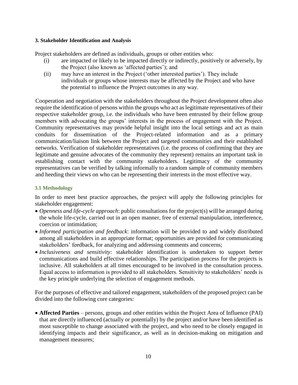#### <span id="page-10-0"></span>**3. Stakeholder Identification and Analysis**

Project stakeholders are defined as individuals, groups or other entities who:

- (i) are impacted or likely to be impacted directly or indirectly, positively or adversely, by the Project (also known as 'affected parties'); and
- (ii) may have an interest in the Project ('other interested parties'). They include individuals or groups whose interests may be affected by the Project and who have the potential to influence the Project outcomes in any way.

Cooperation and negotiation with the stakeholders throughout the Project development often also require the identification of persons within the groups who act as legitimate representatives of their respective stakeholder group, i.e. the individuals who have been entrusted by their fellow group members with advocating the groups' interests in the process of engagement with the Project. Community representatives may provide helpful insight into the local settings and act as main conduits for dissemination of the Project-related information and as a primary communication/liaison link between the Project and targeted communities and their established networks. Verification of stakeholder representatives (i.e. the process of confirming that they are legitimate and genuine advocates of the community they represent) remains an important task in establishing contact with the community stakeholders. Legitimacy of the community representatives can be verified by talking informally to a random sample of community members and heeding their views on who can be representing their interests in the most effective way.

# <span id="page-10-1"></span>**3.1 Methodology**

In order to meet best practice approaches, the project will apply the following principles for stakeholder engagement:

- *Openness and life-cycle approach*: public consultations for the project(s) will be arranged during the whole life-cycle, carried out in an open manner, free of external manipulation, interference, coercion or intimidation;
- *Informed participation and feedback*: information will be provided to and widely distributed among all stakeholders in an appropriate format; opportunities are provided for communicating stakeholders' feedback, for analyzing and addressing comments and concerns;
- *Inclusiveness and sensitivity:* stakeholder identification is undertaken to support better communications and build effective relationships. The participation process for the projects is inclusive. All stakeholders at all times encouraged to be involved in the consultation process. Equal access to information is provided to all stakeholders. Sensitivity to stakeholders' needs is the key principle underlying the selection of engagement methods.

For the purposes of effective and tailored engagement, stakeholders of the proposed project can be divided into the following core categories:

 **Affected Parties** – persons, groups and other entities within the Project Area of Influence (PAI) that are directly influenced (actually or potentially) by the project and/or have been identified as most susceptible to change associated with the project, and who need to be closely engaged in identifying impacts and their significance, as well as in decision-making on mitigation and management measures;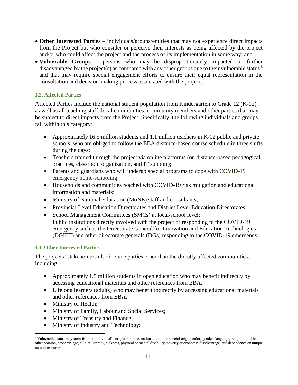- **Other Interested Parties** individuals/groups/entities that may not experience direct impacts from the Project but who consider or perceive their interests as being affected by the project and/or who could affect the project and the process of its implementation in some way; and
- **Vulnerable Groups** persons who may be disproportionately impacted or further disadvantaged by the project(s) as compared with any other groups due to their vulnerable status<sup>4,</sup> and that may require special engagement efforts to ensure their equal representation in the consultation and decision-making process associated with the project.

# <span id="page-11-0"></span>**3.2. Affected Parties**

Affected Parties include the national student population from Kindergarten to Grade 12 (K-12) as well as all teaching staff, local communities, community members and other parties that may be subject to direct impacts from the Project. Specifically, the following individuals and groups fall within this category:

- Approximately 16.5 million students and 1.1 million teachers in K-12 public and private schools, who are obliged to follow the EBA distance-based course schedule in three shifts during the days;
- Teachers trained through the project via online platforms (on distance-based pedagogical practices, classroom organization, and IT support);
- Parents and guardians who will undergo special programs to cope with COVID-19 emergency home-schooling
- Households and communities reached with COVID-19 risk mitigation and educational information and materials;
- Ministry of National Education (MoNE) staff and consultants;
- Provincial Level Education Directorates and District Level Education Directorates,
- School Management Committees (SMCs) at local/school level; Public institutions directly involved with the project or responding to the COVID-19 emergency such as the Directorate General for Innovation and Education Technologies (DGIET) and other directorate generals (DGs) responding to the COVID-19 emergency.

# <span id="page-11-1"></span>**3.3. Other Interested Parties**

The projects' stakeholders also include parties other than the directly affected communities, including:

- Approximately 1.5 million students in open education who may benefit indirectly by accessing educational materials and other references from EBA.
- Lifelong learners (adults) who may benefit indirectly by accessing educational materials and other references from EBA.
- Ministry of Health;

 $\overline{a}$ 

- Ministry of Family, Labour and Social Services;
- Ministry of Treasury and Finance;
- Ministry of Industry and Technology;

<sup>4</sup> Vulnerable status may stem from an individual's or group's race, national, ethnic or social origin, color, gender, language, religion, political or other opinion, property, age, culture, literacy, sickness, physical or mental disability, poverty or economic disadvantage, and dependence on unique natural resources.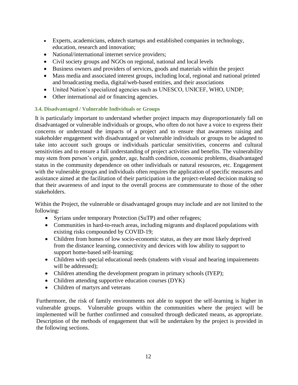- Experts, academicians, edutech startups and established companies in technology, education, research and innovation;
- National/international internet service providers;
- Civil society groups and NGOs on regional, national and local levels
- Business owners and providers of services, goods and materials within the project
- Mass media and associated interest groups, including local, regional and national printed and broadcasting media, digital/web-based entities, and their associations
- United Nation's specialized agencies such as UNESCO, UNICEF, WHO, UNDP;
- Other international aid or financing agencies.

# <span id="page-12-0"></span>**3.4. Disadvantaged / Vulnerable Individuals or Groups**

It is particularly important to understand whether project impacts may disproportionately fall on disadvantaged or vulnerable individuals or groups, who often do not have a voice to express their concerns or understand the impacts of a project and to ensure that awareness raising and stakeholder engagement with disadvantaged or vulnerable individuals or groups to be adapted to take into account such groups or individuals particular sensitivities, concerns and cultural sensitivities and to ensure a full understanding of project activities and benefits. The vulnerability may stem from person's origin, gender, age, health condition, economic problems, disadvantaged status in the community dependence on other individuals or natural resources, etc. Engagement with the vulnerable groups and individuals often requires the application of specific measures and assistance aimed at the facilitation of their participation in the project-related decision making so that their awareness of and input to the overall process are commensurate to those of the other stakeholders.

Within the Project, the vulnerable or disadvantaged groups may include and are not limited to the following:

- Syrians under temporary Protection (SuTP) and other refugees;
- Communities in hard-to-reach areas, including migrants and displaced populations with existing risks compounded by COVID-19;
- Children from homes of low socio-economic status, as they are most likely deprived from the distance learning, connectivity and devices with low ability to support to support home-based self-learning;
- Children with special educational needs (students with visual and hearing impairements will be addressed):
- Children attending the development program in primary schools (IYEP);
- Children attending supportive education courses (DYK)
- Children of martyrs and veterans

Furthermore, the risk of family environments not able to support the self-learning is higher in vulnerable groups. Vulnerable groups within the communities where the project will be implemented will be further confirmed and consulted through dedicated means, as appropriate. Description of the methods of engagement that will be undertaken by the project is provided in the following sections.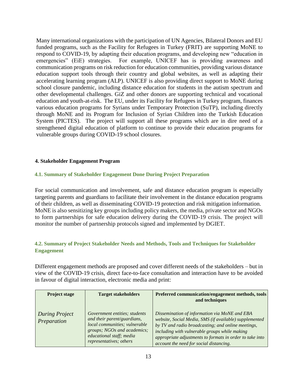Many international organizations with the participation of UN Agencies, Bilateral Donors and EU funded programs, such as the Facility for Refugees in Turkey (FRIT) are supporting MoNE to respond to COVID-19, by adapting their education programs, and developing new "education in emergencies" (EiE) strategies. For example, UNICEF has is providing awareness and communication programs on risk reduction for education communities, providing various distance education support tools through their country and global websites, as well as adapting their accelerating learning program (ALP). UNICEF is also providing direct support to MoNE during school closure pandemic, including distance education for students in the autism spectrum and other developmental challenges. GiZ and other donors are supporting technical and vocational education and youth-at-risk. The EU, under its Facility for Refugees in Turkey program, finances various education programs for Syrians under Temporary Protection (SuTP), including directly through MoNE and its Program for Inclusion of Syrian Children into the Turkish Education System (PICTES). The project will support all these programs which are in dire need of a strengthened digital education of platform to continue to provide their education programs for vulnerable groups during COVID-19 school closures.

#### <span id="page-13-0"></span>**4. Stakeholder Engagement Program**

#### <span id="page-13-1"></span>**4.1. Summary of Stakeholder Engagement Done During Project Preparation**

For social communication and involvement, safe and distance education program is especially targeting parents and guardians to facilitate their involvement in the distance education programs of their children, as well as disseminating COVID-19 protection and risk mitigation information. MoNE is also sensitizing key groups including policy makers, the media, private sector and NGOs to form partnerships for safe education delivery during the COVID-19 crisis. The project will monitor the number of partnership protocols signed and implemented by DGIET.

# <span id="page-13-2"></span>**4.2. Summary of Project Stakeholder Needs and Methods, Tools and Techniques for Stakeholder Engagement**

Different engagement methods are proposed and cover different needs of the stakeholders – but in view of the COVID-19 crisis, direct face-to-face consultation and interaction have to be avoided in favour of digital interaction, electronic media and print:

| <b>Project stage</b>                 | <b>Target stakeholders</b>                                                                                                                                                          | Preferred communication/engagement methods, tools<br>and techniques                                                                                                                                                                                                                                                   |
|--------------------------------------|-------------------------------------------------------------------------------------------------------------------------------------------------------------------------------------|-----------------------------------------------------------------------------------------------------------------------------------------------------------------------------------------------------------------------------------------------------------------------------------------------------------------------|
| <b>During Project</b><br>Preparation | Government entities; students<br>and their parent/guardians,<br>local communities; vulnerable<br>groups; NGOs and academics;<br>educational staff; media<br>representatives; others | Dissemination of information via MoNE and EBA<br>website, Social Media, SMS (if available) supplemented<br>by TV and radio broadcasting; and online meetings,<br>including with vulnerable groups while making<br>appropriate adjustments to formats in order to take into<br>account the need for social distancing. |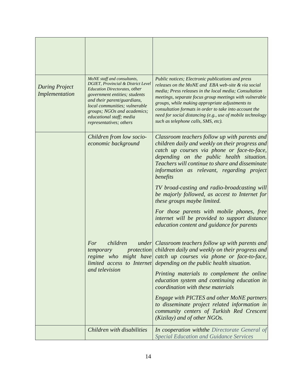| <b>During Project</b><br>Implementation | MoNE staff and consultants,<br><b>DGIET, Provincial &amp; District Level</b><br><b>Education Directorates, other</b><br>government entities; students<br>and their parent/guardians,<br>local communities; vulnerable<br>groups; NGOs and academics;<br>educational staff; media<br>representatives; others | Public notices; Electronic publications and press<br>releases on the MoNE and EBA web-site & via social<br>media; Press releases in the local media; Consultation<br>meetings, separate focus group meetings with vulnerable<br>groups, while making appropriate adjustments to<br>consultation formats in order to take into account the<br>need for social distancing (e.g., use of mobile technology<br>such as telephone calls, SMS, etc). |
|-----------------------------------------|-------------------------------------------------------------------------------------------------------------------------------------------------------------------------------------------------------------------------------------------------------------------------------------------------------------|------------------------------------------------------------------------------------------------------------------------------------------------------------------------------------------------------------------------------------------------------------------------------------------------------------------------------------------------------------------------------------------------------------------------------------------------|
|                                         | Children from low socio-<br>economic background                                                                                                                                                                                                                                                             | Classroom teachers follow up with parents and<br>children daily and weekly on their progress and<br>catch up courses via phone or face-to-face,<br>depending on the public health situation.<br>Teachers will continue to share and disseminate<br>information as relevant, regarding project<br>benefits                                                                                                                                      |
|                                         |                                                                                                                                                                                                                                                                                                             | TV broad-casting and radio-broadcasting will<br>be majorly followed, as accest to Internet for<br>these groups maybe limited.                                                                                                                                                                                                                                                                                                                  |
|                                         |                                                                                                                                                                                                                                                                                                             | For those parents with mobile phones, free<br>internet will be provided to support distance<br>education content and guidance for parents                                                                                                                                                                                                                                                                                                      |
|                                         | For<br>children<br>temporary<br>and television                                                                                                                                                                                                                                                              | under Classroom teachers follow up with parents and<br>protection children daily and weekly on their progress and<br>regime who might have catch up courses via phone or face-to-face,<br>limited access to Internet depending on the public health situation.<br>Printing materials to complement the online                                                                                                                                  |
|                                         |                                                                                                                                                                                                                                                                                                             | education system and continuing education in<br>coordination with these materials                                                                                                                                                                                                                                                                                                                                                              |
|                                         |                                                                                                                                                                                                                                                                                                             | Engage with PICTES and other MoNE partners<br>to disseminate project related information in<br>community centers of Turkish Red Crescent<br>(Kizilay) and of other NGOs.                                                                                                                                                                                                                                                                       |
|                                         | Children with disabilities                                                                                                                                                                                                                                                                                  | In cooperation with the Directorate General of<br><b>Special Education and Guidance Services</b>                                                                                                                                                                                                                                                                                                                                               |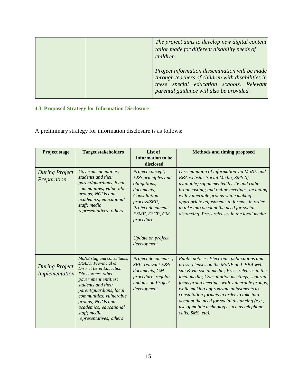|  | The project aims to develop new digital content<br>tailor made for different disability needs of<br>children.                                                                                |  |
|--|----------------------------------------------------------------------------------------------------------------------------------------------------------------------------------------------|--|
|  | Project information dissemination will be made<br>through teachers of children with disabilities in<br>these special education schools. Relevant<br>parental guidance will also be provided. |  |

# <span id="page-15-0"></span>**4.3. Proposed Strategy for Information Disclosure**

A preliminary strategy for information disclosure is as follows:

| <b>Project stage</b>                    | <b>Target stakeholders</b>                                                                                                                                                                                                                                                                                | List of<br>information to be<br>disclosed                                                                                                                                                      | <b>Methods and timing proposed</b>                                                                                                                                                                                                                                                                                                                                                                                                                    |
|-----------------------------------------|-----------------------------------------------------------------------------------------------------------------------------------------------------------------------------------------------------------------------------------------------------------------------------------------------------------|------------------------------------------------------------------------------------------------------------------------------------------------------------------------------------------------|-------------------------------------------------------------------------------------------------------------------------------------------------------------------------------------------------------------------------------------------------------------------------------------------------------------------------------------------------------------------------------------------------------------------------------------------------------|
| <b>During Project</b><br>Preparation    | Government entities;<br>students and their<br>parent/guardians, local<br>communities; vulnerable<br>groups; NGOs and<br>academics; educational<br>staff; media<br>representatives; others                                                                                                                 | Project concept,<br>E&S principles and<br>obligations,<br>documents,<br>Consultation<br>process/SEP,<br>Project documents-<br>ESMF, ESCP, GM<br>procedure,<br>Update on project<br>development | Dissemination of information via MoNE and<br>EBA website, Social Media, SMS (if<br>available) supplemented by TV and radio<br>broadcasting; and online meetings, including<br>with vulnerable groups while making<br>appropriate adjustments to formats in order<br>to take into account the need for social<br>distancing. Press releases in the local media.                                                                                        |
| <b>During Project</b><br>Implementation | MoNE staff and consultants,<br>DGIET, Provincial &<br><b>District Level Education</b><br>Directorates, other<br>government entities;<br>students and their<br>parent/guardians, local<br>communities; vulnerable<br>groups; NGOs and<br>academics; educational<br>staff; media<br>representatives; others | Project documents, ,<br>SEP, relevant E&S<br>documents, GM<br>procedure, regular<br>updates on Project<br>development                                                                          | Public notices; Electronic publications and<br>press releases on the MoNE and EBA web-<br>site & via social media; Press releases in the<br>local media; Consultation meetings, separate<br>focus group meetings with vulnerable groups,<br>while making appropriate adjustments to<br>consultation formats in order to take into<br>account the need for social distancing (e.g.,<br>use of mobile technology such as telephone<br>calls, SMS, etc). |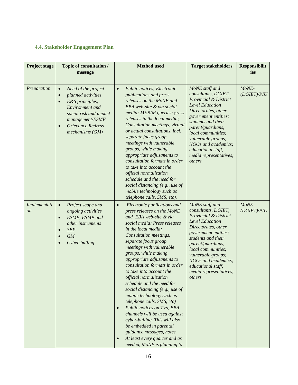# <span id="page-16-0"></span>**4.4. Stakeholder Engagement Plan**

| <b>Project stage</b>      | Topic of consultation /<br>message                                                                                                                                                                                              | <b>Method</b> used                                                                                                                                                                                                                                                                                                                                                                                                                                                                                                                                                                                                                                                                                                                                                                                   | <b>Target stakeholders</b>                                                                                                                                                                                                                                                                                                        | <b>Responsibilit</b><br>ies |
|---------------------------|---------------------------------------------------------------------------------------------------------------------------------------------------------------------------------------------------------------------------------|------------------------------------------------------------------------------------------------------------------------------------------------------------------------------------------------------------------------------------------------------------------------------------------------------------------------------------------------------------------------------------------------------------------------------------------------------------------------------------------------------------------------------------------------------------------------------------------------------------------------------------------------------------------------------------------------------------------------------------------------------------------------------------------------------|-----------------------------------------------------------------------------------------------------------------------------------------------------------------------------------------------------------------------------------------------------------------------------------------------------------------------------------|-----------------------------|
| Preparation               | Need of the project<br>$\bullet$<br>planned activities<br>$\bullet$<br>E&S principles,<br>$\bullet$<br>Environment and<br>social risk and impact<br>management/ESMF<br><b>Grievance Redress</b><br>$\bullet$<br>mechanisms (GM) | Public notices; Electronic<br>$\bullet$<br>publications and press<br>releases on the MoNE and<br>EBA web-site & via social<br>media; MEBIM queries; press<br>releases in the local media;<br>Consultation meetings, virtual<br>or actual consultations, incl.<br>separate focus group<br>meetings with vulnerable<br>groups, while making<br>appropriate adjustments to<br>consultation formats in order<br>to take into account the<br>official normalization<br>schedule and the need for<br>social distancing (e.g., use of<br>mobile technology such as                                                                                                                                                                                                                                          | MoNE staff and<br>consultants, DGIET,<br><b>Provincial &amp; District</b><br><b>Level Education</b><br>Directorates, other<br>government entities;<br>students and their<br>parent/guardians,<br>local communities;<br>vulnerable groups;<br>NGOs and academics;<br>educational staff;<br>media representatives;<br>others        | MoNE-<br>(DGIET)/PIU        |
| Implementati<br><i>on</i> | Project scope and<br>$\bullet$<br>ongoing activities<br>ESMF, ESMP and<br>$\bullet$<br>other instruments<br><b>SEP</b><br>$\bullet$<br><b>GM</b><br>$\bullet$<br>Cyber-bulling<br>$\bullet$                                     | telephone calls, SMS, etc).<br>Electronic publications and<br>$\bullet$<br>press releases on the MoNE<br>and EBA web-site & via<br>social media; Press releases<br>in the local media;<br>Consultation meetings,<br>separate focus group<br>meetings with vulnerable<br>groups, while making<br>appropriate adjustments to<br>consultation formats in order<br>to take into account the<br><i>official normalization</i><br>schedule and the need for<br>social distancing (e.g., use of<br>mobile technology such as<br>telephone calls, SMS, etc)<br>Public notices on TVs, EBA<br>$\bullet$<br>channels will be used against<br>cyber-bulling. This will also<br>be embedded in parental<br>guidance messages, notes<br>At least every quarter and as<br>$\bullet$<br>needed, MoNE is planning to | MoNE staff and<br>consultants, DGIET,<br><b>Provincial &amp; District</b><br><b>Level Education</b><br>Directorates, other<br><i>government entities;</i><br>students and their<br>parent/guardians,<br>local communities;<br>vulnerable groups;<br>NGOs and academics;<br>educational staff;<br>media representatives;<br>others | MoNE-<br>(DGIET)/PIU        |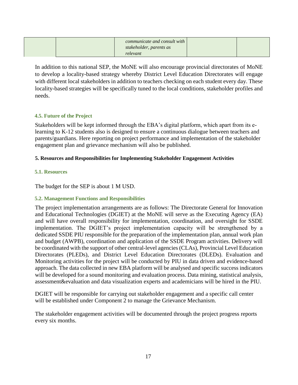|  | communicate and consult with |  |
|--|------------------------------|--|
|  | stakeholder, parents as      |  |
|  | relevant                     |  |

In addition to this national SEP, the MoNE will also encourage provincial directorates of MoNE to develop a locality-based strategy whereby District Level Education Directorates will engage with different local stakeholders in addition to teachers checking on each student every day. These locality-based strategies will be specifically tuned to the local conditions, stakeholder profiles and needs.

# <span id="page-17-0"></span>**4.5. Future of the Project**

Stakeholders will be kept informed through the EBA's digital platform, which apart from its elearning to K-12 students also is designed to ensure a continuous dialogue between teachers and parents/guardians. Here reporting on project performance and implementation of the stakeholder engagement plan and grievance mechanism will also be published.

# <span id="page-17-1"></span>**5. Resources and Responsibilities for Implementing Stakeholder Engagement Activities**

# <span id="page-17-2"></span>**5.1. Resources**

The budget for the SEP is about 1 M USD.

# <span id="page-17-3"></span>**5.2. Management Functions and Responsibilities**

The project implementation arrangements are as follows: The Directorate General for Innovation and Educational Technologies (DGIET) at the MoNE will serve as the Executing Agency (EA) and will have overall responsibility for implementation, coordination, and oversight for SSDE implementation. The DGIET's project implementation capacity will be strengthened by a dedicated SSDE PIU responsible for the preparation of the implementation plan, annual work plan and budget (AWPB), coordination and application of the SSDE Program activities. Delivery will be coordinated with the support of other central-level agencies (CLAs), Provincial Level Education Directorates (PLEDs), and District Level Education Directorates (DLEDs). Evaluation and Monitoring activities for the project will be conducted by PIU in data driven and evidence-based approach. The data collected in new EBA platform will be analysed and specific success indicators will be developed for a sound monitoring and evaluation process. Data mining, statistical analysis, assessment&evaluation and data visualization experts and academicians will be hired in the PIU.

DGIET will be responsible for carrying out stakeholder engagement and a specific call center will be established under Component 2 to manage the Grievance Mechanism.

The stakeholder engagement activities will be documented through the project progress reports every six months.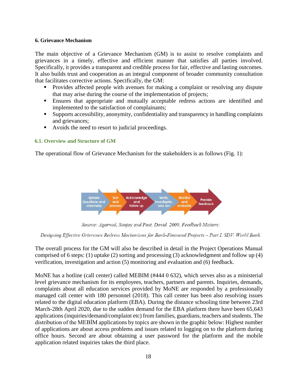#### <span id="page-18-0"></span>**6. Grievance Mechanism**

The main objective of a Grievance Mechanism (GM) is to assist to resolve complaints and grievances in a timely, effective and efficient manner that satisfies all parties involved. Specifically, it provides a transparent and credible process for fair, effective and lasting outcomes. It also builds trust and cooperation as an integral component of broader community consultation that facilitates corrective actions. Specifically, the GM:

- Provides affected people with avenues for making a complaint or resolving any dispute that may arise during the course of the implementation of projects;
- Ensures that appropriate and mutually acceptable redress actions are identified and implemented to the satisfaction of complainants;
- Supports accessibility, anonymity, confidentiality and transparency in handling complaints and grievances;
- Avoids the need to resort to judicial proceedings.

# <span id="page-18-1"></span>**6.1. Overview and Structure of GM**

The operational flow of Grievance Mechanism for the stakeholders is as follows (Fig. 1):



Source: Agarwal, Sanjay and Post, David. 2009. Feedback Matters:

Designing Effective Grievance Redress Mechanisms for Bank-Financed Projects - Part I. SDV. World Bank.

The overall process for the GM will also be described in detail in the Project Operations Manual comprised of 6 steps: (1) uptake (2) sorting and processing (3) acknowledgment and follow up (4) verification, investigation and action (5) monitoring and evaluation and (6) feedback.

MoNE has a hotline (call center) called MEBIM (#444 0 632), which serves also as a ministerial level grievance mechanism for its employees, teachers, partners and parents. Inquiries, demands, complaints about all education services provided by MoNE are responded by a professionally managed call center with 180 personnel (2018). This call center has been also resolving issues related to the digital education platform (EBA). During the distance schooling time between 23rd March-28th April 2020, due to the sudden demand for the EBA platform there have been 65,643 applications (inquiries/demand/complaint etc) from families, guardians, teachers and students. The distribution of the MEBİM applications by topics are shown in the graphic below: Highest number of applications are about access problems and issues related to logging on to the platform during office hours. Second are about obtaining a user password for the platform and the mobile application related inquiries takes the third place.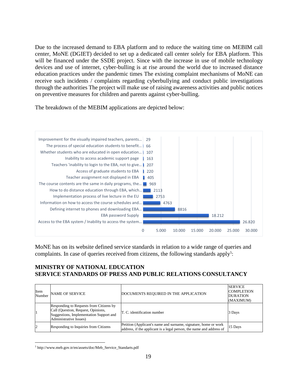Due to the increased demand to EBA platform and to reduce the waiting time on MEBIM call center, MoNE (DGIET) decided to set up a dedicated call center solely for EBA platform. This will be financed under the SSDE project. Since with the increase in use of mobile technology devices and use of internet, cyber-bulling is at rise around the world due to increased distance education practices under the pandemic times The existing complaint mechanisms of MoNE can receive such incidents / complaints regarding cyberbullying and conduct public investigations through the authorities The project will make use of raising awareness activities and public notices on preventive measures for children and parents against cyber-bulling.

The breakdown of the MEBIM applications are depicted below:



MoNE has on its website defined service standards in relation to a wide range of queries and complaints. In case of queries received from citizens, the following standards apply<sup>5</sup>:

# **MINISTRY OF NATIONAL EDUCATION SERVICE STANDARDS OF PRESS AND PUBLIC RELATIONS CONSULTANCY**

| Item<br>Number | <b>NAME OF SERVICE</b>                                                                                                                             | DOCUMENTS REQUIRED IN THE APPLICATION                                                                                                   | <b>SERVICE</b><br><b>COMPLETION</b><br><b>DURATION</b><br>(MAXIMUM) |
|----------------|----------------------------------------------------------------------------------------------------------------------------------------------------|-----------------------------------------------------------------------------------------------------------------------------------------|---------------------------------------------------------------------|
|                | Responding to Requests from Citizens by<br>Call (Question, Request, Opinions,<br>Suggestions, Implementation Support and<br>Administrative Issues) | T. C. identification number                                                                                                             | 3 Days                                                              |
| 12             | Responding to Inquiries from Citizens                                                                                                              | Petition (Applicant's name and surname, signature, home or work<br>address, if the applicant is a legal person, the name and address of | 15 Days                                                             |

<sup>5</sup> http://www.meb.gov.tr/en/assets/doc/Meb\_Service\_Standarts.pdf

 $\overline{a}$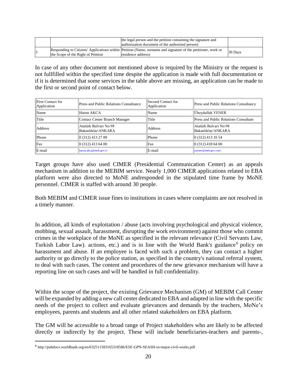|                                    | the legal person and the petition containing the signature and<br>authorization document of the authorized person)                 |         |
|------------------------------------|------------------------------------------------------------------------------------------------------------------------------------|---------|
| the Scope of the Right of Petition | Responding to Citizens' Applications within Petition (Name, surname and signature of the petitioner, work or<br>residence address) | 30 Days |

In case of any other document not mentioned above is required by the Ministry or the request is not fullfilled within the specified time despite the application is made with full documentation or if it is determined that some services in the table above are missing, an application can be made to the first or second point of contact below.

| <b>First Contact for</b><br>Application | Press and Public Relations Consultancy      | Second Contact for<br>Application | Press and Public Relations Consultancy      |
|-----------------------------------------|---------------------------------------------|-----------------------------------|---------------------------------------------|
| Name                                    | Harun AKCA                                  | Name                              | Übeydullah YENER                            |
| Title                                   | <b>Contact Center Branch Manager</b>        | Title                             | Press and Public Relations Consultant       |
| Address                                 | Atatürk Bulvarı No:98<br>Bakanlıklar/ANKARA | <b>Address</b>                    | Atatürk Bulvarı No:98<br>Bakanlıklar/ANKARA |
| Phone                                   | 0 (312) 413 27 89                           | Phone                             | $0(312)$ 413 10 54                          |
| Fax                                     | $0(312)$ 413 64 00                          | Fax                               | $0(312)$ 418 64 00                          |
| E-mail                                  | harun.akca@meb.gov.tr                       | E-mail                            | uyener@meb.gov.com                          |

Target groups have also used CIMER (Presidential Communication Center) as an appeals mechanism in addition to the MEBIM service. Nearly 1,000 CIMER applications related to EBA platform were also directed to MoNE andresponded in the stipulated time frame by MoNE personnel. CIMER is staffed with around 30 people.

Both MEBIM and CIMER issue fines to institutions in cases where complaints are not resolved in a timely manner.

In addition, all kinds of exploitation / abuse (acts involving psychological and physical violence, mobbing, sexual assault, harassment, disrupting the work environment) against those who commit crimes in the workplace of the MoNE as specified in the relevant relevance (Civil Servants Law, Turkish Labor Law). actions, etc.) and is in line with the World Bank's guidance<sup>6</sup> policy on harassment and abuse. If an employee is faced with such a problem, they can contact a higher authority or go directly to the police station, as specified in the country's national referral system, to deal with such cases. The content and procedures of the new grievance mechanism will have a reporting line on such cases and will be handled in full confidentiality.

Within the scope of the project, the existing Grievance Mechanism (GM) of MEBIM Call Center will be expanded by adding a new call center dedicated to EBA and adapted in line with the specific needs of the project to collect and evaluate grievances and demands by the teachers, MoNe's employees, parents and students and all other related stakeholders on EBA platform.

The GM will be accessible to a broad range of Project stakeholders who are likely to be affected directly or indirectly by the project. These will include beneficiaries-teachers and parents-,

 $\overline{a}$ 

<sup>&</sup>lt;sup>6</sup> http://pubdocs.worldbank.org/en/632511583165318586/ESF-GPN-SEASH-in-major-civil-works.pdf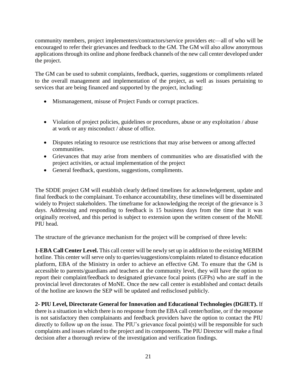community members, project implementers/contractors/service providers etc—all of who will be encouraged to refer their grievances and feedback to the GM. The GM will also allow anonymous applications through its online and phone feedback channels of the new call center developed under the project.

The GM can be used to submit complaints, feedback, queries, suggestions or compliments related to the overall management and implementation of the project, as well as issues pertaining to services that are being financed and supported by the project, including:

- Mismanagement, misuse of Project Funds or corrupt practices.
- Violation of project policies, guidelines or procedures, abuse or any exploitation / abuse at work or any misconduct / abuse of office.
- Disputes relating to resource use restrictions that may arise between or among affected communities.
- Grievances that may arise from members of communities who are dissatisfied with the project activities, or actual implementation of the project
- General feedback, questions, suggestions, compliments.

The SDDE project GM will establish clearly defined timelines for acknowledgement, update and final feedback to the complainant. To enhance accountability, these timelines will be disseminated widely to Project stakeholders. The timeframe for acknowledging the receipt of the grievance is 3 days. Addressing and responding to feedback is 15 business days from the time that it was originally received, and this period is subject to extension upon the written consent of the MoNE PIU head.

The structure of the grievance mechanism for the project will be comprised of three levels:

**1-EBA Call Center Level.** This call center will be newly set up in addition to the existing MEBIM hotline. This center will serve only to queries/suggestions/complaints related to distance education platform, EBA of the Ministry in order to achieve an effective GM. To ensure that the GM is accessible to parents/guardians and teachers at the community level, they will have the option to report their complaint/feedback to designated grievance focal points (GFPs) who are staff in the provincial level directorates of MoNE. Once the new call center is established and contact details of the hotline are known the SEP will be updated and redisclosed publicly.

**2- PIU Level, Directorate General for Innovation and Educational Technologies (DGIET).** If there is a situation in which there is no response from the EBA call center/hotline, or if the response is not satisfactory then complainants and feedback providers have the option to contact the PIU directly to follow up on the issue. The PIU's grievance focal point(s) will be responsible for such complaints and issues related to the project and its components. The PIU Director will make a final decision after a thorough review of the investigation and verification findings.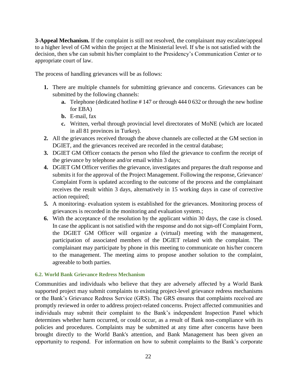**3-Appeal Mechanism.** If the complaint is still not resolved, the complainant may escalate/appeal to a higher level of GM within the project at the Ministerial level. If s/he is not satisfied with the decision, then s/he can submit his/her complaint to the Presidency's Communication Center or to appropriate court of law.

The process of handling grievances will be as follows:

- **1.** There are multiple channels for submitting grievance and concerns. Grievances can be submitted by the following channels:
	- **a.** Telephone (dedicated hotline # 147 or through 444 0 632 or through the new hotline for EBA)
	- **b.** E-mail, fax
	- **c.** Written, verbal through provincial level directorates of MoNE (which are located in all 81 provinces in Turkey).
- **2.** All the grievances received through the above channels are collected at the GM section in DGIET, and the grievances received are recorded in the central database;
- **3.** DGIET GM Officer contacts the person who filed the grievance to confirm the receipt of the grievance by telephone and/or email within 3 days;
- **4.** DGIET GM Officer verifies the grievance, investigates and prepares the draft response and submits it for the approval of the Project Management. Following the response, Grievance/ Complaint Form is updated according to the outcome of the process and the complainant receives the result within 3 days, alternatively in 15 working days in case of corrective action required;
- **5.** A monitoring- evaluation system is established for the grievances. Monitoring process of grievances is recorded in the monitoring and evaluation system.;
- **6.** With the acceptance of the resolution by the applicant within 30 days, the case is closed. In case the applicant is not satisfied with the response and do not sign-off Complaint Form, the DGIET GM Officer will organize a (virtual) meeting with the management, participation of associated members of the DGIET related with the complaint. The complainant may participate by phone in this meeting to communicate on his/her concern to the management. The meeting aims to propose another solution to the complaint, agreeable to both parties.

# <span id="page-22-0"></span>**6.2. World Bank Grievance Redress Mechanism**

Communities and individuals who believe that they are adversely affected by a World Bank supported project may submit complaints to existing project-level grievance redress mechanisms or the Bank's Grievance Redress Service (GRS). The GRS ensures that complaints received are promptly reviewed in order to address project-related concerns. Project affected communities and individuals may submit their complaint to the Bank's independent Inspection Panel which determines whether harm occurred, or could occur, as a result of Bank non-compliance with its policies and procedures. Complaints may be submitted at any time after concerns have been brought directly to the World Bank's attention, and Bank Management has been given an opportunity to respond. For information on how to submit complaints to the Bank's corporate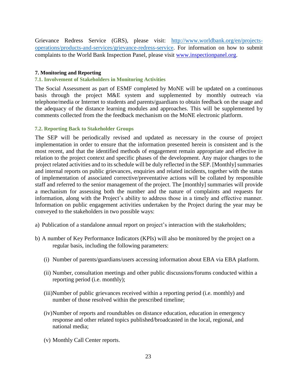Grievance Redress Service (GRS), please visit: [http://www.worldbank.org/en/projects](http://www.worldbank.org/en/projects-operations/products-and-services/grievance-redress-service)[operations/products-and-services/grievance-redress-service.](http://www.worldbank.org/en/projects-operations/products-and-services/grievance-redress-service) For information on how to submit complaints to the World Bank Inspection Panel, please visit [www.inspectionpanel.org.](http://www.inspectionpanel.org/)

#### <span id="page-23-0"></span>**7. Monitoring and Reporting**

#### <span id="page-23-1"></span>**7.1. Involvement of Stakeholders in Monitoring Activities**

The Social Assessment as part of ESMF completed by MoNE will be updated on a continuous basis through the project M&E system and supplemented by monthly outreach via telephone/media or Internet to students and parents/guardians to obtain feedback on the usage and the adequacy of the distance learning modules and approaches. This will be supplemented by comments collected from the the feedback mechanism on the MoNE electronic platform.

#### <span id="page-23-2"></span>**7.2. Reporting Back to Stakeholder Groups**

The SEP will be periodically revised and updated as necessary in the course of project implementation in order to ensure that the information presented herein is consistent and is the most recent, and that the identified methods of engagement remain appropriate and effective in relation to the project context and specific phases of the development. Any major changes to the project related activities and to its schedule will be duly reflected in the SEP. [Monthly] summaries and internal reports on public grievances, enquiries and related incidents, together with the status of implementation of associated corrective/preventative actions will be collated by responsible staff and referred to the senior management of the project. The [monthly] summaries will provide a mechanism for assessing both the number and the nature of complaints and requests for information, along with the Project's ability to address those in a timely and effective manner. Information on public engagement activities undertaken by the Project during the year may be conveyed to the stakeholders in two possible ways:

- a) Publication of a standalone annual report on project's interaction with the stakeholders;
- b) A number of Key Performance Indicators (KPIs) will also be monitored by the project on a regular basis, including the following parameters:
	- (i) Number of parents/guardians/users accessing information about EBA via EBA platform.
	- (ii) Number, consultation meetings and other public discussions/forums conducted within a reporting period (i.e. monthly);
	- (iii)Number of public grievances received within a reporting period (i.e. monthly) and number of those resolved within the prescribed timeline;
	- (iv)Number of reports and roundtables on distance education, education in emergency response and other related topics published/broadcasted in the local, regional, and national media;
	- (v) Monthly Call Center reports.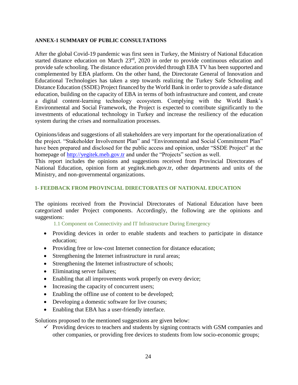#### <span id="page-24-0"></span>**ANNEX-1 SUMMARY OF PUBLIC CONSULTATIONS**

After the global Covid-19 pandemic was first seen in Turkey, the Ministry of National Education started distance education on March 23rd, 2020 in order to provide continuous education and provide safe schooling. The distance education provided through EBA TV has been supported and complemented by EBA platform. On the other hand, the Directorate General of Innovation and Educational Technologies has taken a step towards realizing the Turkey Safe Schooling and Distance Education (SSDE) Project financed by the World Bank in order to provide a safe distance education, building on the capacity of EBA in terms of both infrastructure and content, and create a digital content-learning technology ecosystem. Complying with the World Bank's Environmental and Social Framework, the Project is expected to contribute significantly to the investments of educational technology in Turkey and increase the resiliency of the education system during the crises and normalization processes.

Opinions/ideas and suggestions of all stakeholders are very important for the operationalization of the project. "Stakeholder Involvement Plan" and "Environmental and Social Commitment Plan" have been prepared and disclosed for the public access and opinion, under "SSDE Project" at the homepage of [http://yegitek.meb.gov.tr](http://yegitek.meb.gov.tr/) and under the "Projects" section as well.

This report includes the opinions and suggestions received from Provincial Directorates of National Education, opinion form at yegitek.meb.gov.tr, other departments and units of the Ministry, and non-governmental organizations.

#### <span id="page-24-1"></span>**1- FEEDBACK FROM PROVINCIAL DIRECTORATES OF NATIONAL EDUCATION**

The opinions received from the Provincial Directorates of National Education have been categorized under Project components. Accordingly, the following are the opinions and suggestions:

<span id="page-24-2"></span>1.1 Component on Connectivity and IT Infrastructure During Emergency

- Providing devices in order to enable students and teachers to participate in distance education;
- Providing free or low-cost Internet connection for distance education;
- Strengthening the Internet infrastructure in rural areas;
- Strengthening the Internet infrastructure of schools;
- Eliminating server failures;
- Enabling that all improvements work properly on every device;
- Increasing the capacity of concurrent users;
- Enabling the offline use of content to be developed;
- Developing a domestic software for live courses;
- Enabling that EBA has a user-friendly interface.

Solutions proposed to the mentioned suggestions are given below:

 $\checkmark$  Providing devices to teachers and students by signing contracts with GSM companies and other companies, or providing free devices to students from low socio-economic groups;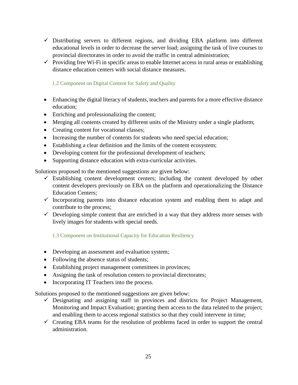- $\checkmark$  Distributing servers to different regions, and dividing EBA platform into different educational levels in order to decrease the server load; assigning the task of live courses to provincial directorates in order to avoid the traffic in central administration;
- $\checkmark$  Providing free Wi-Fi in specific areas to enable Internet access in rural areas or establishing distance education centers with social distance measures.

# <span id="page-25-0"></span>1.2 Component on Digital Content for Safety and Quality

- Enhancing the digital literacy of students, teachers and parents for a more effective distance education;
- Enriching and professionalizing the content;
- Merging all contents created by different units of the Ministry under a single platform;
- Creating content for vocational classes;
- Increasing the number of contents for students who need special education;
- Establishing a clear definition and the limits of the content ecosystem;
- Developing content for the professional development of teachers;
- Supporting distance education with extra-curricular activities.

Solutions proposed to the mentioned suggestions are given below:

- $\checkmark$  Establishing content development centers; including the content developed by other content developers previously on EBA on the platform and operationalizing the Distance Education Centers;
- $\checkmark$  Incorporating parents into distance education system and enabling them to adapt and contribute to the process;
- $\checkmark$  Developing simple content that are enriched in a way that they address more senses with lively images for students with special needs.

<span id="page-25-1"></span>1.3 Component on Institutional Capacity for Education Resiliency

- Developing an assessment and evaluation system;
- Following the absence status of students;
- Establishing project management committees in provinces;
- Assigning the task of resolution centers to provincial directorates;
- Incorporating IT Teachers into the process.

Solutions proposed to the mentioned suggestions are given below:

- $\checkmark$  Designating and assigning staff in provinces and districts for Project Management, Monitoring and Impact Evaluation; granting them access to the data related to the project; and enabling them to access regional statistics so that they could intervene in time;
- $\checkmark$  Creating EBA teams for the resolution of problems faced in order to support the central administration.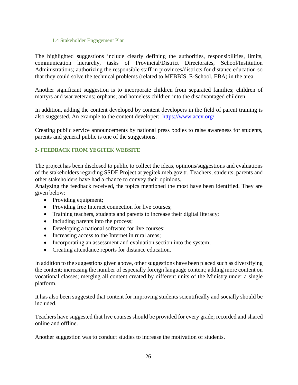#### 1.4 Stakeholder Engagement Plan

<span id="page-26-0"></span>The highlighted suggestions include clearly defining the authorities, responsibilities, limits, communication hierarchy, tasks of Provincial/District Directorates, School/Institution Administrations; authorizing the responsible staff in provinces/districts for distance education so that they could solve the technical problems (related to MEBBIS, E-School, EBA) in the area.

Another significant suggestion is to incorporate children from separated families; children of martyrs and war veterans; orphans; and homeless children into the disadvantaged children.

In addition, adding the content developed by content developers in the field of parent training is also suggested. An example to the content developer: <https://www.acev.org/>

Creating public service announcements by national press bodies to raise awareness for students, parents and general public is one of the suggestions.

# <span id="page-26-1"></span>**2- FEEDBACK FROM YEGITEK WEBSITE**

The project has been disclosed to public to collect the ideas, opinions/suggestions and evaluations of the stakeholders regarding SSDE Project at yegitek.meb.gov.tr. Teachers, students, parents and other stakeholders have had a chance to convey their opinions.

Analyzing the feedback received, the topics mentioned the most have been identified. They are given below:

- Providing equipment;
- Providing free Internet connection for live courses;
- Training teachers, students and parents to increase their digital literacy;
- Including parents into the process;
- Developing a national software for live courses;
- Increasing access to the Internet in rural areas;
- Incorporating an assessment and evaluation section into the system;
- Creating attendance reports for distance education.

In addition to the suggestions given above, other suggestions have been placed such as diversifying the content; increasing the number of especially foreign language content; adding more content on vocational classes; merging all content created by different units of the Ministry under a single platform.

It has also been suggested that content for improving students scientifically and socially should be included.

Teachers have suggested that live courses should be provided for every grade; recorded and shared online and offline.

Another suggestion was to conduct studies to increase the motivation of students.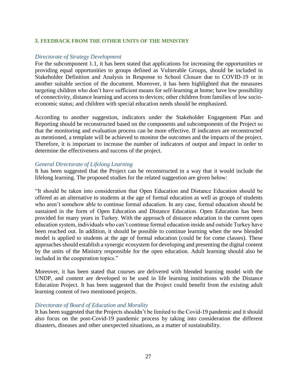#### <span id="page-27-0"></span>**3. FEEDBACK FROM THE OTHER UNITS OF THE MINISTRY**

#### *Directorate of Strategy Development*

For the subcomponent 1.1, it has been stated that applications for increasing the opportunities or providing equal opportunities to groups defined as Vulnerable Groups, should be included in Stakeholder Definition and Analysis in Response to School Closure due to COVID-19 or in another suitable section of the document. Moreover, it has been highlighted that the measures targeting children who don't have sufficient means for self-learning at home; have low possibility of connectivity, distance learning and access to devices; other children from families of low socioeconomic status; and children with special education needs should be emphasized.

According to another suggestion, indicators under the Stakeholder Engagement Plan and Reporting should be reconstructed based on the components and subcomponents of the Project so that the monitoring and evaluation process can be more effective. If indicators are reconstructed as mentioned, a template will be achieved to monitor the outcomes and the impacts of the project. Therefore, it is important to increase the number of indicators of output and impact in order to determine the effectiveness and success of the project.

#### *General Directorate of Lifelong Learning*

It has been suggested that the Project can be reconstructed in a way that it would include the lifelong learning. The proposed studies for the related suggestion are given below:

"It should be taken into consideration that Open Education and Distance Education should be offered as an alternative to students at the age of formal education as well as groups of students who aren't somehow able to continue formal education. In any case, formal education should be sustained in the form of Open Education and Distance Education. Open Education has been provided for many years in Turkey. With the approach of distance education in the current open education system, individuals who can't continue formal education inside and outside Turkey have been reached out. In addition, it should be possible to continue learning when the new blended model is applied to students at the age of formal education (could be for come classes). These approaches should establish a synergic ecosystem for developing and presenting the digital content by the units of the Ministry responsible for the open education. Adult learning should also be included in the cooperation topics."

Moreover, it has been stated that courses are delivered with blended learning model with the UNDP, and content are developed to be used in life learning institutions with the Distance Education Project. It has been suggested that the Project could benefit from the existing adult learning content of two mentioned projects.

#### *Directorate of Board of Education and Morality*

It has been suggested that the Projects shouldn't be limited to the Covid-19 pandemic and it should also focus on the post-Covid-19 pandemic process by taking into consideration the different disasters, diseases and other unexpected situations, as a matter of sustainability.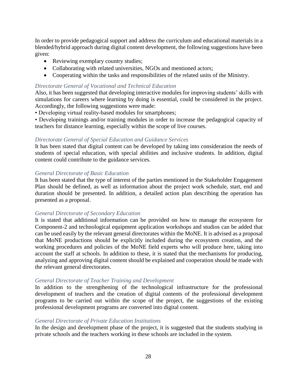In order to provide pedagogical support and address the curriculum and educational materials in a blended/hybrid approach during digital content development, the following suggestions have been given:

- Reviewing exemplary country studies;
- Collaborating with related universities, NGOs and mentioned actors;
- Cooperating within the tasks and responsibilities of the related units of the Ministry.

#### *Directorate General of Vocational and Technical Education*

Also, it has been suggested that developing interactive modules for improving students' skills with simulations for careers where learning by doing is essential, could be considered in the project. Accordingly, the following suggestions were made:

• Developing virtual reality-based modules for smartphones;

• Developing trainings and/or training modules in order to increase the pedagogical capacity of teachers for distance learning, especially within the scope of live courses.

#### *Directorate General of Special Education and Guidance Services*

It has been stated that digital content can be developed by taking into consideration the needs of students of special education, with special abilities and inclusive students. In addition, digital content could contribute to the guidance services.

#### *General Directorate of Basic Education*

It has been stated that the type of interest of the parties mentioned in the Stakeholder Engagement Plan should be defined, as well as information about the project work schedule, start, end and duration should be presented. In addition, a detailed action plan describing the operation has presented as a proposal.

#### *General Directorate of Secondary Education*

It is stated that additional information can be provided on how to manage the ecosystem for Component-2 and technological equipment application workshops and studios can be added that can be used easily by the relevant general directorates within the MoNE. It is advised as a proposal that MoNE productions should be explicitly included during the ecosystem creation, and the working procedures and policies of the MoNE field experts who will produce here, taking into account the staff at schools. In addition to these, it is stated that the mechanisms for producing, analyzing and approving digital content should be explained and cooperation should be made with the relevant general directorates.

#### *General Directorate of Teacher Training and Development*

In addition to the strengthening of the technological infrastructure for the professional development of teachers and the creation of digital contents of the professional development programs to be carried out within the scope of the project, the suggestions of the existing professional development programs are converted into digital content.

#### *General Directorate of Private Education Institutions*

In the design and development phase of the project, it is suggested that the students studying in private schools and the teachers working in these schools are included in the system.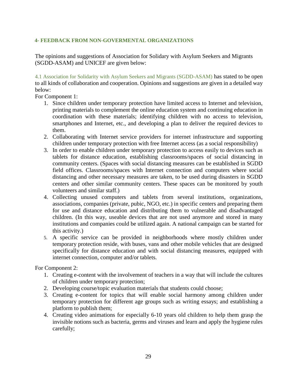# <span id="page-29-0"></span>**4- FEEDBACK FROM NON-GOVERMENTAL ORGANIZATIONS**

The opinions and suggestions of Association for Solidary with Asylum Seekers and Migrants (SGDD-ASAM) and UNICEF are given below:

<span id="page-29-1"></span>4.1 Association for Solidarity with Asylum Seekers and Migrants (SGDD-ASAM) has stated to be open to all kinds of collaboration and cooperation. Opinions and suggestions are given in a detailed way below:

For Component 1:

- 1. Since children under temporary protection have limited access to Internet and television, printing materials to complement the online education system and continuing education in coordination with these materials; identifying children with no access to television, smartphones and Internet, etc., and developing a plan to deliver the required devices to them.
- 2. Collaborating with Internet service providers for internet infrastructure and supporting children under temporary protection with free Internet access (as a social responsibility)
- 3. In order to enable children under temporary protection to access easily to devices such as tablets for distance education, establishing classrooms/spaces of social distancing in community centers. (Spaces with social distancing measures can be established in SGDD field offices. Classrooms/spaces with Internet connection and computers where social distancing and other necessary measures are taken, to be used during disasters in SGDD centers and other similar community centers. These spaces can be monitored by youth volunteers and similar staff.)
- 4. Collecting unused computers and tablets from several institutions, organizations, associations, companies (private, pubic, NGO, etc.) in specific centers and preparing them for use and distance education and distributing them to vulnerable and disadvantaged children. (In this way, useable devices that are not used anymore and stored in many institutions and companies could be utilized again. A national campaign can be started for this activity.)
- 5. A specific service can be provided in neighborhoods where mostly children under temporary protection reside, with buses, vans and other mobile vehicles that are designed specifically for distance education and with social distancing measures, equipped with internet connection, computer and/or tablets.

For Component 2:

- 1. Creating e-content with the involvement of teachers in a way that will include the cultures of children under temporary protection;
- 2. Developing course/topic evaluation materials that students could choose;
- 3. Creating e-content for topics that will enable social harmony among children under temporary protection for different age groups such as writing essays; and establishing a platform to publish them;
- 4. Creating video animations for especially 6-10 years old children to help them grasp the invisible notions such as bacteria, germs and viruses and learn and apply the hygiene rules carefully;